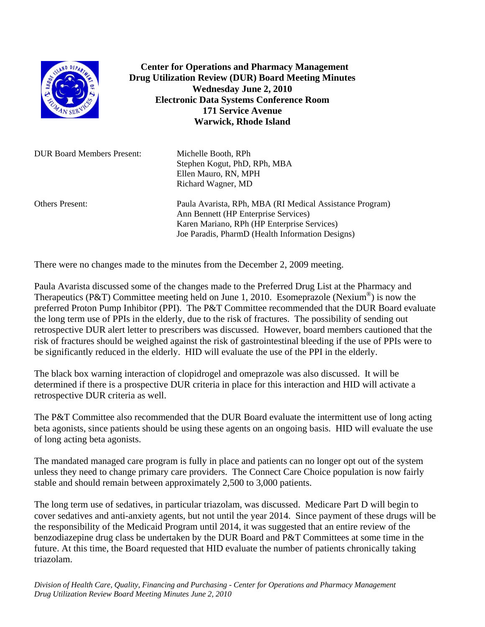

 **Center for Operations and Pharmacy Management Drug Utilization Review (DUR) Board Meeting Minutes Wednesday June 2, 2010 Electronic Data Systems Conference Room 171 Service Avenue Warwick, Rhode Island** 

| <b>DUR Board Members Present:</b> | Michelle Booth, RPh<br>Stephen Kogut, PhD, RPh, MBA<br>Ellen Mauro, RN, MPH<br>Richard Wagner, MD                                                                                                   |
|-----------------------------------|-----------------------------------------------------------------------------------------------------------------------------------------------------------------------------------------------------|
| <b>Others Present:</b>            | Paula Avarista, RPh, MBA (RI Medical Assistance Program)<br>Ann Bennett (HP Enterprise Services)<br>Karen Mariano, RPh (HP Enterprise Services)<br>Joe Paradis, PharmD (Health Information Designs) |

There were no changes made to the minutes from the December 2, 2009 meeting.

Paula Avarista discussed some of the changes made to the Preferred Drug List at the Pharmacy and Therapeutics (P&T) Committee meeting held on June 1, 2010. Esomeprazole (Nexium<sup>®</sup>) is now the preferred Proton Pump Inhibitor (PPI). The P&T Committee recommended that the DUR Board evaluate the long term use of PPIs in the elderly, due to the risk of fractures. The possibility of sending out retrospective DUR alert letter to prescribers was discussed. However, board members cautioned that the risk of fractures should be weighed against the risk of gastrointestinal bleeding if the use of PPIs were to be significantly reduced in the elderly. HID will evaluate the use of the PPI in the elderly.

The black box warning interaction of clopidrogel and omeprazole was also discussed. It will be determined if there is a prospective DUR criteria in place for this interaction and HID will activate a retrospective DUR criteria as well.

The P&T Committee also recommended that the DUR Board evaluate the intermittent use of long acting beta agonists, since patients should be using these agents on an ongoing basis. HID will evaluate the use of long acting beta agonists.

The mandated managed care program is fully in place and patients can no longer opt out of the system unless they need to change primary care providers. The Connect Care Choice population is now fairly stable and should remain between approximately 2,500 to 3,000 patients.

The long term use of sedatives, in particular triazolam, was discussed. Medicare Part D will begin to cover sedatives and anti-anxiety agents, but not until the year 2014. Since payment of these drugs will be the responsibility of the Medicaid Program until 2014, it was suggested that an entire review of the benzodiazepine drug class be undertaken by the DUR Board and P&T Committees at some time in the future. At this time, the Board requested that HID evaluate the number of patients chronically taking triazolam.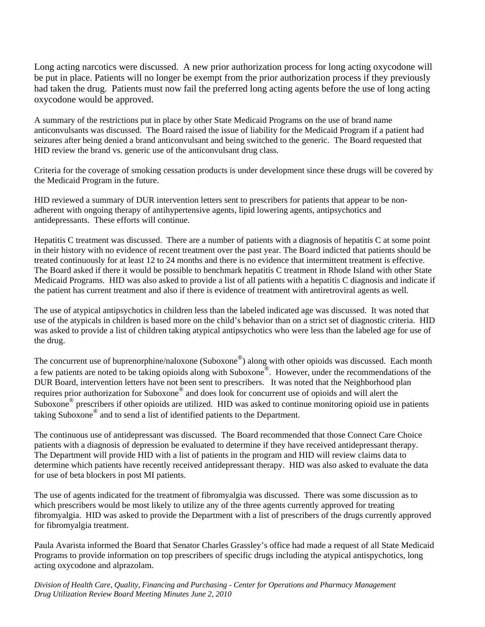Long acting narcotics were discussed. A new prior authorization process for long acting oxycodone will be put in place. Patients will no longer be exempt from the prior authorization process if they previously had taken the drug. Patients must now fail the preferred long acting agents before the use of long acting oxycodone would be approved.

A summary of the restrictions put in place by other State Medicaid Programs on the use of brand name anticonvulsants was discussed. The Board raised the issue of liability for the Medicaid Program if a patient had seizures after being denied a brand anticonvulsant and being switched to the generic. The Board requested that HID review the brand vs. generic use of the anticonvulsant drug class.

Criteria for the coverage of smoking cessation products is under development since these drugs will be covered by the Medicaid Program in the future.

HID reviewed a summary of DUR intervention letters sent to prescribers for patients that appear to be nonadherent with ongoing therapy of antihypertensive agents, lipid lowering agents, antipsychotics and antidepressants. These efforts will continue.

Hepatitis C treatment was discussed. There are a number of patients with a diagnosis of hepatitis C at some point in their history with no evidence of recent treatment over the past year. The Board indicted that patients should be treated continuously for at least 12 to 24 months and there is no evidence that intermittent treatment is effective. The Board asked if there it would be possible to benchmark hepatitis C treatment in Rhode Island with other State Medicaid Programs. HID was also asked to provide a list of all patients with a hepatitis C diagnosis and indicate if the patient has current treatment and also if there is evidence of treatment with antiretroviral agents as well.

The use of atypical antipsychotics in children less than the labeled indicated age was discussed. It was noted that use of the atypicals in children is based more on the child's behavior than on a strict set of diagnostic criteria. HID was asked to provide a list of children taking atypical antipsychotics who were less than the labeled age for use of the drug.

The concurrent use of buprenorphine/naloxone (Suboxone®) along with other opioids was discussed. Each month a few patients are noted to be taking opioids along with Suboxone®. However, under the recommendations of the DUR Board, intervention letters have not been sent to prescribers. It was noted that the Neighborhood plan requires prior authorization for Suboxone® and does look for concurrent use of opioids and will alert the Suboxone® prescribers if other opioids are utilized. HID was asked to continue monitoring opioid use in patients taking Suboxone® and to send a list of identified patients to the Department.

The continuous use of antidepressant was discussed. The Board recommended that those Connect Care Choice patients with a diagnosis of depression be evaluated to determine if they have received antidepressant therapy. The Department will provide HID with a list of patients in the program and HID will review claims data to determine which patients have recently received antidepressant therapy. HID was also asked to evaluate the data for use of beta blockers in post MI patients.

The use of agents indicated for the treatment of fibromyalgia was discussed. There was some discussion as to which prescribers would be most likely to utilize any of the three agents currently approved for treating fibromyalgia. HID was asked to provide the Department with a list of prescribers of the drugs currently approved for fibromyalgia treatment.

Paula Avarista informed the Board that Senator Charles Grassley's office had made a request of all State Medicaid Programs to provide information on top prescribers of specific drugs including the atypical antispychotics, long acting oxycodone and alprazolam.

*Division of Health Care, Quality, Financing and Purchasing - Center for Operations and Pharmacy Management Drug Utilization Review Board Meeting Minutes June 2, 2010*